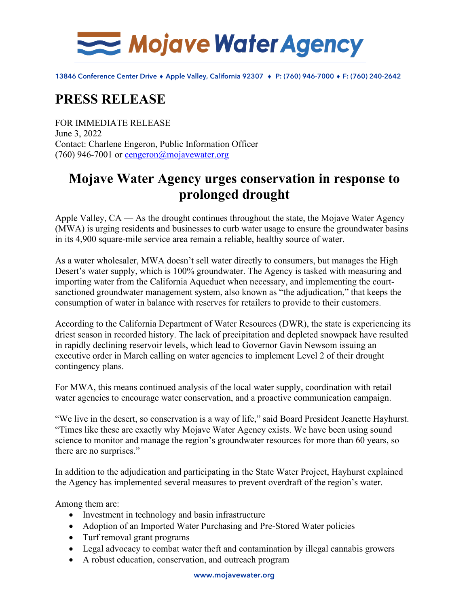

13846 Conference Center Drive ♦ Apple Valley, California 92307 ♦ P: (760) 946-7000 ♦ F: (760) 240-2642

## **PRESS RELEASE**

FOR IMMEDIATE RELEASE June 3, 2022 Contact: Charlene Engeron, Public Information Officer (760) 946-7001 or [cengeron@mojavewater.org](mailto:cengeron@mojavewater.org)

## **Mojave Water Agency urges conservation in response to prolonged drought**

Apple Valley, CA — As the drought continues throughout the state, the Mojave Water Agency (MWA) is urging residents and businesses to curb water usage to ensure the groundwater basins in its 4,900 square-mile service area remain a reliable, healthy source of water.

As a water wholesaler, MWA doesn't sell water directly to consumers, but manages the High Desert's water supply, which is 100% groundwater. The Agency is tasked with measuring and importing water from the California Aqueduct when necessary, and implementing the courtsanctioned groundwater management system, also known as "the adjudication," that keeps the consumption of water in balance with reserves for retailers to provide to their customers.

According to the California Department of Water Resources (DWR), the state is experiencing its driest season in recorded history. The lack of precipitation and depleted snowpack have resulted in rapidly declining reservoir levels, which lead to Governor Gavin Newsom issuing an executive order in March calling on water agencies to implement Level 2 of their drought contingency plans.

For MWA, this means continued analysis of the local water supply, coordination with retail water agencies to encourage water conservation, and a proactive communication campaign.

"We live in the desert, so conservation is a way of life," said Board President Jeanette Hayhurst. "Times like these are exactly why Mojave Water Agency exists. We have been using sound science to monitor and manage the region's groundwater resources for more than 60 years, so there are no surprises."

In addition to the adjudication and participating in the State Water Project, Hayhurst explained the Agency has implemented several measures to prevent overdraft of the region's water.

Among them are:

- Investment in technology and basin infrastructure
- Adoption of an Imported Water Purchasing and Pre-Stored Water policies
- Turf removal grant programs
- Legal advocacy to combat water theft and contamination by illegal cannabis growers
- A robust education, conservation, and outreach program